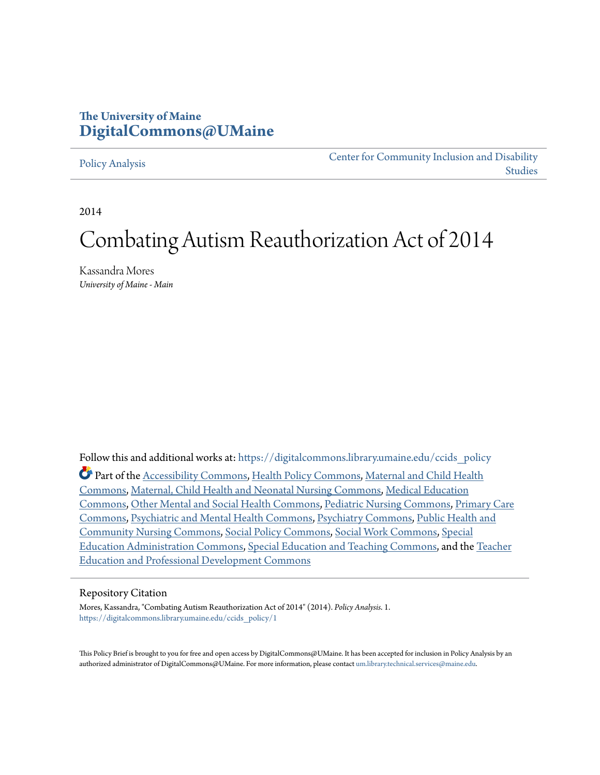## **The University of Maine [DigitalCommons@UMaine](https://digitalcommons.library.umaine.edu?utm_source=digitalcommons.library.umaine.edu%2Fccids_policy%2F1&utm_medium=PDF&utm_campaign=PDFCoverPages)**

#### [Policy Analysis](https://digitalcommons.library.umaine.edu/ccids_policy?utm_source=digitalcommons.library.umaine.edu%2Fccids_policy%2F1&utm_medium=PDF&utm_campaign=PDFCoverPages)

[Center for Community Inclusion and Disability](https://digitalcommons.library.umaine.edu/ccids?utm_source=digitalcommons.library.umaine.edu%2Fccids_policy%2F1&utm_medium=PDF&utm_campaign=PDFCoverPages) [Studies](https://digitalcommons.library.umaine.edu/ccids?utm_source=digitalcommons.library.umaine.edu%2Fccids_policy%2F1&utm_medium=PDF&utm_campaign=PDFCoverPages)

2014

# Combating Autism Reauthorization Act of 2014

Kassandra Mores *University of Maine - Main*

Follow this and additional works at: [https://digitalcommons.library.umaine.edu/ccids\\_policy](https://digitalcommons.library.umaine.edu/ccids_policy?utm_source=digitalcommons.library.umaine.edu%2Fccids_policy%2F1&utm_medium=PDF&utm_campaign=PDFCoverPages) Part of the [Accessibility Commons](http://network.bepress.com/hgg/discipline/1318?utm_source=digitalcommons.library.umaine.edu%2Fccids_policy%2F1&utm_medium=PDF&utm_campaign=PDFCoverPages), [Health Policy Commons](http://network.bepress.com/hgg/discipline/395?utm_source=digitalcommons.library.umaine.edu%2Fccids_policy%2F1&utm_medium=PDF&utm_campaign=PDFCoverPages), [Maternal and Child Health](http://network.bepress.com/hgg/discipline/745?utm_source=digitalcommons.library.umaine.edu%2Fccids_policy%2F1&utm_medium=PDF&utm_campaign=PDFCoverPages) [Commons,](http://network.bepress.com/hgg/discipline/745?utm_source=digitalcommons.library.umaine.edu%2Fccids_policy%2F1&utm_medium=PDF&utm_campaign=PDFCoverPages) [Maternal, Child Health and Neonatal Nursing Commons,](http://network.bepress.com/hgg/discipline/721?utm_source=digitalcommons.library.umaine.edu%2Fccids_policy%2F1&utm_medium=PDF&utm_campaign=PDFCoverPages) [Medical Education](http://network.bepress.com/hgg/discipline/1125?utm_source=digitalcommons.library.umaine.edu%2Fccids_policy%2F1&utm_medium=PDF&utm_campaign=PDFCoverPages) [Commons,](http://network.bepress.com/hgg/discipline/1125?utm_source=digitalcommons.library.umaine.edu%2Fccids_policy%2F1&utm_medium=PDF&utm_campaign=PDFCoverPages) [Other Mental and Social Health Commons,](http://network.bepress.com/hgg/discipline/717?utm_source=digitalcommons.library.umaine.edu%2Fccids_policy%2F1&utm_medium=PDF&utm_campaign=PDFCoverPages) [Pediatric Nursing Commons,](http://network.bepress.com/hgg/discipline/723?utm_source=digitalcommons.library.umaine.edu%2Fccids_policy%2F1&utm_medium=PDF&utm_campaign=PDFCoverPages) [Primary Care](http://network.bepress.com/hgg/discipline/1092?utm_source=digitalcommons.library.umaine.edu%2Fccids_policy%2F1&utm_medium=PDF&utm_campaign=PDFCoverPages) [Commons,](http://network.bepress.com/hgg/discipline/1092?utm_source=digitalcommons.library.umaine.edu%2Fccids_policy%2F1&utm_medium=PDF&utm_campaign=PDFCoverPages) [Psychiatric and Mental Health Commons](http://network.bepress.com/hgg/discipline/711?utm_source=digitalcommons.library.umaine.edu%2Fccids_policy%2F1&utm_medium=PDF&utm_campaign=PDFCoverPages), [Psychiatry Commons,](http://network.bepress.com/hgg/discipline/704?utm_source=digitalcommons.library.umaine.edu%2Fccids_policy%2F1&utm_medium=PDF&utm_campaign=PDFCoverPages) [Public Health and](http://network.bepress.com/hgg/discipline/725?utm_source=digitalcommons.library.umaine.edu%2Fccids_policy%2F1&utm_medium=PDF&utm_campaign=PDFCoverPages) [Community Nursing Commons](http://network.bepress.com/hgg/discipline/725?utm_source=digitalcommons.library.umaine.edu%2Fccids_policy%2F1&utm_medium=PDF&utm_campaign=PDFCoverPages), [Social Policy Commons](http://network.bepress.com/hgg/discipline/1030?utm_source=digitalcommons.library.umaine.edu%2Fccids_policy%2F1&utm_medium=PDF&utm_campaign=PDFCoverPages), [Social Work Commons](http://network.bepress.com/hgg/discipline/713?utm_source=digitalcommons.library.umaine.edu%2Fccids_policy%2F1&utm_medium=PDF&utm_campaign=PDFCoverPages), [Special](http://network.bepress.com/hgg/discipline/788?utm_source=digitalcommons.library.umaine.edu%2Fccids_policy%2F1&utm_medium=PDF&utm_campaign=PDFCoverPages) [Education Administration Commons](http://network.bepress.com/hgg/discipline/788?utm_source=digitalcommons.library.umaine.edu%2Fccids_policy%2F1&utm_medium=PDF&utm_campaign=PDFCoverPages), [Special Education and Teaching Commons,](http://network.bepress.com/hgg/discipline/801?utm_source=digitalcommons.library.umaine.edu%2Fccids_policy%2F1&utm_medium=PDF&utm_campaign=PDFCoverPages) and the [Teacher](http://network.bepress.com/hgg/discipline/803?utm_source=digitalcommons.library.umaine.edu%2Fccids_policy%2F1&utm_medium=PDF&utm_campaign=PDFCoverPages) [Education and Professional Development Commons](http://network.bepress.com/hgg/discipline/803?utm_source=digitalcommons.library.umaine.edu%2Fccids_policy%2F1&utm_medium=PDF&utm_campaign=PDFCoverPages)

#### Repository Citation

Mores, Kassandra, "Combating Autism Reauthorization Act of 2014" (2014). *Policy Analysis*. 1. [https://digitalcommons.library.umaine.edu/ccids\\_policy/1](https://digitalcommons.library.umaine.edu/ccids_policy/1?utm_source=digitalcommons.library.umaine.edu%2Fccids_policy%2F1&utm_medium=PDF&utm_campaign=PDFCoverPages)

This Policy Brief is brought to you for free and open access by DigitalCommons@UMaine. It has been accepted for inclusion in Policy Analysis by an authorized administrator of DigitalCommons@UMaine. For more information, please contact [um.library.technical.services@maine.edu.](mailto:um.library.technical.services@maine.edu)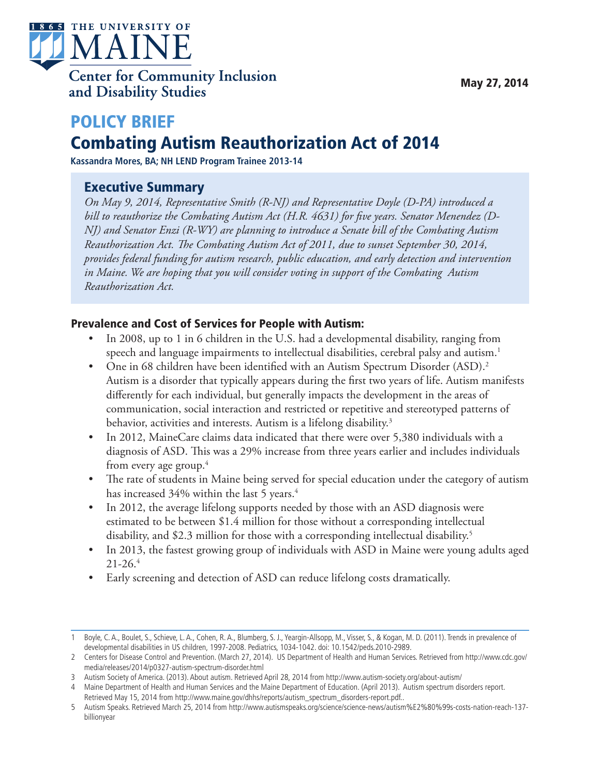

## POLICY BRIEF Combating Autism Reauthorization Act of 2014

**Kassandra Mores, BA; NH LEND Program Trainee 2013-14**

### Executive Summary

*On May 9, 2014, Representative Smith (R-NJ) and Representative Doyle (D-PA) introduced a bill to reauthorize the Combating Autism Act (H.R. 4631) for five years. Senator Menendez (D-NJ) and Senator Enzi (R-WY) are planning to introduce a Senate bill of the Combating Autism Reauthorization Act. The Combating Autism Act of 2011, due to sunset September 30, 2014, provides federal funding for autism research, public education, and early detection and intervention in Maine. We are hoping that you will consider voting in support of the Combating Autism Reauthorization Act.*

#### Prevalence and Cost of Services for People with Autism:

- In 2008, up to 1 in 6 children in the U.S. had a developmental disability, ranging from speech and language impairments to intellectual disabilities, cerebral palsy and autism.<sup>1</sup>
- One in 68 children have been identified with an Autism Spectrum Disorder (ASD).<sup>2</sup> Autism is a disorder that typically appears during the first two years of life. Autism manifests differently for each individual, but generally impacts the development in the areas of communication, social interaction and restricted or repetitive and stereotyped patterns of behavior, activities and interests. Autism is a lifelong disability.<sup>3</sup>
- In 2012, MaineCare claims data indicated that there were over 5,380 individuals with a diagnosis of ASD. This was a 29% increase from three years earlier and includes individuals from every age group. $4$
- The rate of students in Maine being served for special education under the category of autism has increased 34% within the last 5 years.<sup>4</sup>
- In 2012, the average lifelong supports needed by those with an ASD diagnosis were estimated to be between \$1.4 million for those without a corresponding intellectual disability, and \$2.3 million for those with a corresponding intellectual disability.<sup>5</sup>
- In 2013, the fastest growing group of individuals with ASD in Maine were young adults aged  $21 - 26.4$
- Early screening and detection of ASD can reduce lifelong costs dramatically.

<sup>1</sup> Boyle, C. A., Boulet, S., Schieve, L. A., Cohen, R. A., Blumberg, S. J., Yeargin-Allsopp, M., Visser, S., & Kogan, M. D. (2011). Trends in prevalence of developmental disabilities in US children, 1997-2008. Pediatrics, 1034-1042. doi: 10.1542/peds.2010-2989.

<sup>2</sup> Centers for Disease Control and Prevention. (March 27, 2014). US Department of Health and Human Services. Retrieved from http://www.cdc.gov/ media/releases/2014/p0327-autism-spectrum-disorder.html

<sup>3</sup> Autism Society of America. (2013). About autism. Retrieved April 28, 2014 from http://www.autism-society.org/about-autism/

<sup>4</sup> Maine Department of Health and Human Services and the Maine Department of Education. (April 2013). Autism spectrum disorders report. Retrieved May 15, 2014 from http://www.maine.gov/dhhs/reports/autism\_spectrum\_disorders-report.pdf..

<sup>5</sup> Autism Speaks. Retrieved March 25, 2014 from http://www.autismspeaks.org/science/science-news/autism%E2%80%99s-costs-nation-reach-137 billionyear